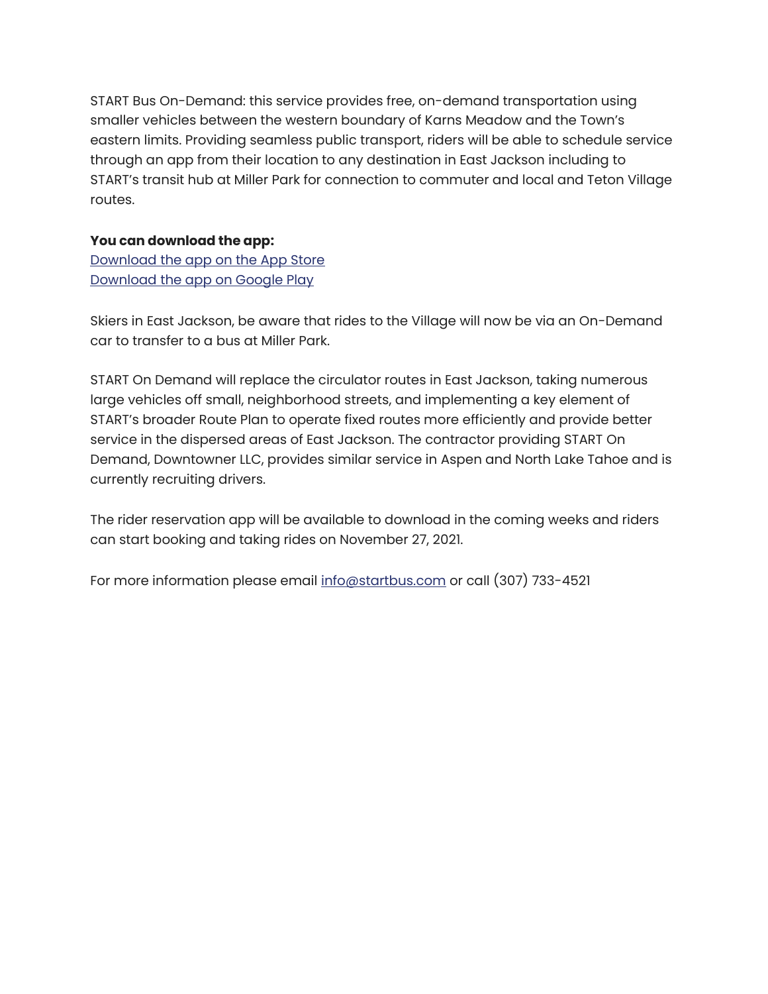START Bus On-Demand: this service provides free, on-demand transportation using smaller vehicles between the western boundary of Karns Meadow and the Town's eastern limits. Providing seamless public transport, riders will be able to schedule service through an app from their location to any destination in East Jackson including to START's transit hub at Miller Park for connection to commuter and local and Teton Village routes.

## **You can download the app:**

[Download the app on the App Store](https://apps.apple.com/us/app/start-on-demand/id1594026146) [Download the app on Google Play](https://play.google.com/store/apps/details?id=com.downtownerapp.jackson)

Skiers in East Jackson, be aware that rides to the Village will now be via an On-Demand car to transfer to a bus at Miller Park.

START On Demand will replace the circulator routes in East Jackson, taking numerous large vehicles off small, neighborhood streets, and implementing a key element of START's broader Route Plan to operate fixed routes more efficiently and provide better service in the dispersed areas of East Jackson. The contractor providing START On Demand, Downtowner LLC, provides similar service in Aspen and North Lake Tahoe and is currently recruiting drivers.

The rider reservation app will be available to download in the coming weeks and riders can start booking and taking rides on November 27, 2021.

For more information please email [info@startbus.com](mailto:info@startbus.com) or call (307) 733-4521